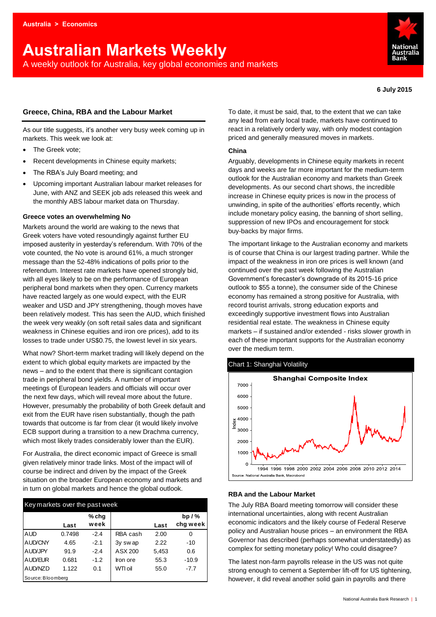# **Australian Markets Weekly**

A weekly outlook for Australia, key global economies and markets



**6 July 2015**

## **Greece, China, RBA and the Labour Market**

As our title suggests, it's another very busy week coming up in markets. This week we look at:

- The Greek vote;
- Recent developments in Chinese equity markets;
- The RBA's July Board meeting; and
- Upcoming important Australian labour market releases for June, with ANZ and SEEK job ads released this week and the monthly ABS labour market data on Thursday.

### **Greece votes an overwhelming No**

Markets around the world are waking to the news that Greek voters have voted resoundingly against further EU imposed austerity in yesterday's referendum. With 70% of the vote counted, the No vote is around 61%, a much stronger message than the 52-48% indications of polls prior to the referendum. Interest rate markets have opened strongly bid, with all eyes likely to be on the performance of European peripheral bond markets when they open. Currency markets have reacted largely as one would expect, with the EUR weaker and USD and JPY strengthening, though moves have been relatively modest. This has seen the AUD, which finished the week very weakly (on soft retail sales data and significant weakness in Chinese equities and iron ore prices), add to its losses to trade under US\$0.75, the lowest level in six years.

What now? Short-term market trading will likely depend on the extent to which global equity markets are impacted by the news – and to the extent that there is significant contagion trade in peripheral bond yields. A number of important meetings of European leaders and officials will occur over the next few days, which will reveal more about the future. However, presumably the probability of both Greek default and exit from the EUR have risen substantially, though the path towards that outcome is far from clear (it would likely involve ECB support during a transition to a new Drachma currency, which most likely trades considerably lower than the EUR).

For Australia, the direct economic impact of Greece is small given relatively minor trade links. Most of the impact will of course be indirect and driven by the impact of the Greek situation on the broader European economy and markets and in turn on global markets and hence the global outlook.

| Key markets over the past week |        |               |           |       |                      | The July RBA Board meeting tomorrow will consider these                                                                   |
|--------------------------------|--------|---------------|-----------|-------|----------------------|---------------------------------------------------------------------------------------------------------------------------|
|                                | Last   | % chq<br>week |           | Last  | bp $/$ %<br>chg week | international uncertainties, along with recent Australian<br>economic indicators and the likely course of Federal Reserve |
| <b>AUD</b>                     | 0.7498 | $-2.4$        | RBA cash  | 2.00  | $\Omega$             | policy and Australian house prices - an environment the RBA                                                               |
| <b>AUD/CNY</b>                 | 4.65   | $-2.1$        | $3v$ swap | 2.22  | $-10$                | Governor has described (perhaps somewhat understatedly) a                                                                 |
| <b>AUD/JPY</b>                 | 91.9   | $-2.4$        | ASX 200   | 5.453 | 0.6                  | complex for setting monetary policy! Who could disagree?                                                                  |
| AUD/EUR                        | 0.681  | $-1.2$        | lron ore  | 55.3  | $-10.9$              | The latest non-farm payrolls release in the US was not quite                                                              |
| AUD/NZD                        | 1.122  | 0.1           | WTI oil   | 55.0  | $-7.7$               | strong enough to cement a September lift-off for US tightening                                                            |
| Source: Bloomberg              |        |               |           |       |                      | however, it did reveal another solid gain in payrolls and there                                                           |

To date, it must be said, that, to the extent that we can take any lead from early local trade, markets have continued to react in a relatively orderly way, with only modest contagion priced and generally measured moves in markets.

#### **China**

Arguably, developments in Chinese equity markets in recent days and weeks are far more important for the medium-term outlook for the Australian economy and markets than Greek developments. As our second chart shows, the incredible increase in Chinese equity prices is now in the process of unwinding, in spite of the authorities' efforts recently, which include monetary policy easing, the banning of short selling, suppression of new IPOs and encouragement for stock buy-backs by major firms.

The important linkage to the Australian economy and markets is of course that China is our largest trading partner. While the impact of the weakness in iron ore prices is well known (and continued over the past week following the Australian Government's forecaster's downgrade of its 2015-16 price outlook to \$55 a tonne), the consumer side of the Chinese economy has remained a strong positive for Australia, with record tourist arrivals, strong education exports and exceedingly supportive investment flows into Australian residential real estate. The weakness in Chinese equity markets – if sustained and/or extended - risks slower growth in each of these important supports for the Australian economy over the medium term.





### **RBA and the Labour Market**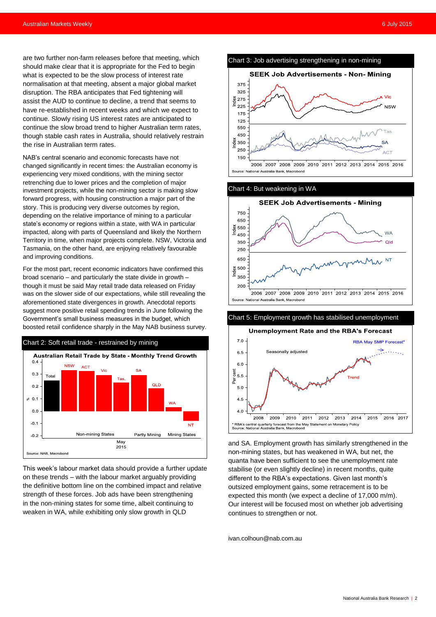are two further non-farm releases before that meeting, which should make clear that it is appropriate for the Fed to begin what is expected to be the slow process of interest rate normalisation at that meeting, absent a major global market disruption. The RBA anticipates that Fed tightening will assist the AUD to continue to decline, a trend that seems to have re-established in recent weeks and which we expect to continue. Slowly rising US interest rates are anticipated to continue the slow broad trend to higher Australian term rates, though stable cash rates in Australia, should relatively restrain the rise in Australian term rates.

NAB's central scenario and economic forecasts have not changed significantly in recent times: the Australian economy is experiencing very mixed conditions, with the mining sector retrenching due to lower prices and the completion of major investment projects, while the non-mining sector is making slow forward progress, with housing construction a major part of the story. This is producing very diverse outcomes by region, depending on the relative importance of mining to a particular state's economy or regions within a state, with WA in particular impacted, along with parts of Queensland and likely the Northern Territory in time, when major projects complete. NSW, Victoria and Tasmania, on the other hand, are enjoying relatively favourable and improving conditions.

For the most part, recent economic indicators have confirmed this broad scenario – and particularly the state divide in growth – though it must be said May retail trade data released on Friday was on the slower side of our expectations, while still revealing the aforementioned state divergences in growth. Anecdotal reports suggest more positive retail spending trends in June following the Government's small business measures in the budget, which boosted retail confidence sharply in the May NAB business survey.



This week's labour market data should provide a further update on these trends – with the labour market arguably providing the definitive bottom line on the combined impact and relative strength of these forces. Job ads have been strengthening in the non-mining states for some time, albeit continuing to weaken in WA, while exhibiting only slow growth in QLD



Chart 4: But weakening in WA



Chart 5: Employment growth has stabilised unemployment



and SA. Employment growth has similarly strengthened in the non-mining states, but has weakened in WA, but net, the quanta have been sufficient to see the unemployment rate stabilise (or even slightly decline) in recent months, quite different to the RBA's expectations. Given last month's outsized employment gains, some retracement is to be expected this month (we expect a decline of 17,000 m/m). Our interest will be focused most on whether job advertising continues to strengthen or not.

[ivan.colhoun@nab.com.au](mailto:ivan.colhoun@nab.com.au)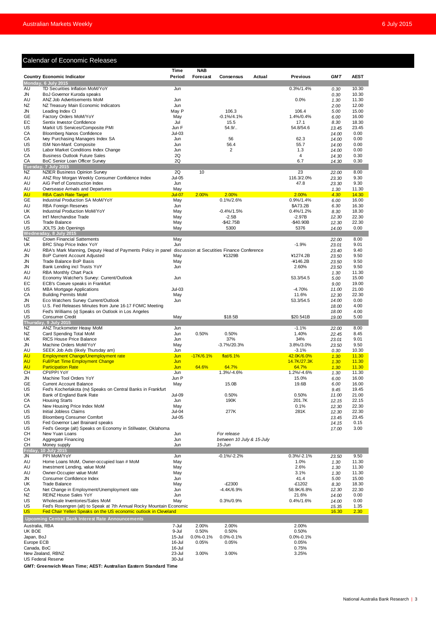## Calendar of Economic Releases

|                           | <b>Calendar of Economic Releases</b>                                                                          |                  |                 |                                             |        |                       |                |                |
|---------------------------|---------------------------------------------------------------------------------------------------------------|------------------|-----------------|---------------------------------------------|--------|-----------------------|----------------|----------------|
|                           |                                                                                                               | Time             | <b>NAB</b>      |                                             |        |                       |                |                |
|                           | <b>Country Economic Indicator</b>                                                                             | Period           | Forecast        | Consensus                                   | Actual | <b>Previous</b>       | <b>GMT</b>     | <b>AEST</b>    |
|                           | Monday, 6 July 2015                                                                                           |                  |                 |                                             |        |                       |                |                |
| AU<br>JN                  | TD Securities Inflation MoM/YoY<br>BoJ Governor Kuroda speaks                                                 | Jun              |                 |                                             |        | $0.3\%/1.4\%$         | 0.30<br>0.30   | 10.30<br>10.30 |
| AU                        | ANZ Job Advertisements MoM                                                                                    | Jun              |                 |                                             |        | 0.0%                  | 1.30           | 11.30          |
| NZ                        | NZ Treasury Main Economic Indicators                                                                          | Jun              |                 |                                             |        |                       | 2.00           | 12.00          |
| JN                        | Leading Index CI                                                                                              | May P            |                 | 106.3                                       |        | 106.4                 | 5.00           | 15.00          |
| GE<br>EС                  | Factory Orders MoM/YoY<br>Sentix Investor Confidence                                                          | May<br>Jul       |                 | $-0.1\%/4.1\%$<br>15.5                      |        | 1.4%/0.4%<br>17.1     | 6.00<br>8.30   | 16.00<br>18.30 |
| US                        | Markit US Services/Composite PMI                                                                              | Jun F            |                 | $54.9/$                                     |        | 54.8/54.6             | 13.45          | 23.45          |
| CA                        | <b>Bloomberg Nanos Confidence</b>                                                                             | $Jul-03$         |                 |                                             |        |                       | 14.00          | 0.00           |
| CA                        | Ivey Purchasing Managers Index SA                                                                             | Jun              |                 | 56                                          |        | 62.3                  | 14.00          | 0.00           |
| US<br>US                  | ISM Non-Manf. Composite<br>Labor Market Conditions Index Change                                               | Jun<br>Jun       |                 | 56.4<br>$\overline{2}$                      |        | 55.7<br>1.3           | 14.00<br>14.00 | 0.00<br>0.00   |
| CA                        | <b>Business Outlook Future Sales</b>                                                                          | 2Q               |                 |                                             |        | $\overline{4}$        | 14.30          | 0.30           |
| СA                        | BoC Senior Loan Officer Survey                                                                                | 2Q               |                 |                                             |        | 6.7                   | 14.30          | 0.30           |
|                           | Tuesday, 7 July 2015                                                                                          |                  |                 |                                             |        |                       |                |                |
| NZ<br>AU                  | <b>NZIER Business Opinion Survey</b><br>ANZ Roy Morgan Weekly Consumer Confidence Index                       | 2Q<br>$Jul-05$   | 10              |                                             |        | 23<br>116.3/2.0%      | 22.00          | 8.00<br>9.30   |
| AU                        | AiG Perf of Construction Index                                                                                | Jun              |                 |                                             |        | 47.8                  | 23.30<br>23.30 | 9.30           |
| AU                        | Oversease Arrivals and Departures                                                                             | May              |                 |                                             |        |                       | 1.30           | 11.30          |
| <b>AU</b>                 | <b>RBA Cash Rate Target</b>                                                                                   | Jul-07           | 2.00%           | 2.00%                                       |        | 2.00%                 | 4.30           | 14.30          |
| GE                        | Industrial Production SA MoM/YoY                                                                              | May              |                 | 0.1%/2.6%                                   |        | 0.9%/1.4%             | 6.00           | 16.00          |
| AU<br>UK                  | RBA Foreign Reserves<br>Industrial Production MoM/YoY                                                         | Jun<br>May       |                 | $-0.4\%/1.5\%$                              |        | \$A73.2B<br>0.4%/1.2% | 6.30<br>8.30   | 16.30<br>18.30 |
| CA                        | Int'l Merchandise Trade                                                                                       | May              |                 | $-2.5B$                                     |        | $-2.97B$              | 12.30          | 22.30          |
| US                        | <b>Trade Balance</b>                                                                                          | May              |                 | $-$ \$42.75B                                |        | $-$40.90B$            | 12.30          | 22.30          |
| US                        | JOLTS Job Openings                                                                                            | May              |                 | 5300                                        |        | 5376                  | 14.00          | 0.00           |
|                           | Wednesday, 8 July 2015                                                                                        |                  |                 |                                             |        |                       |                |                |
| NZ<br>UK                  | <b>Crown Financial Sattements</b><br>BRC Shop Price Index YoY                                                 | May<br>Jun       |                 |                                             |        | $-1.9%$               | 22.00<br>23.01 | 8.00<br>9.01   |
| AU                        | RBA's Mark Manning, Deputy Head of Payments Policy in panel                                                   |                  |                 | discussion at Secutities Finance Conference |        |                       | 23.40          | 9.40           |
| JN                        | <b>BoP Current Account Adjusted</b>                                                                           | May              |                 | ¥1329B                                      |        | ¥1274.2B              | 23.50          | 9.50           |
| JN                        | Trade Balance BoP Basis                                                                                       | May              |                 |                                             |        | $-4146.2B$            | 23.50          | 9.50           |
| JN                        | Bank Lending incl Trusts YoY                                                                                  | Jun              |                 |                                             |        | 2.60%                 | 23.50          | 9.50           |
| AU<br>AU                  | RBA Monthly Chart Pack<br>Economy Watcher's Survey: Current/Outlook                                           | Jun              |                 |                                             |        | 53.3/54.5             | 1.30<br>5.00   | 11.30<br>15.00 |
| EС                        | ECB's Coeure speaks in Frankfurt                                                                              |                  |                 |                                             |        |                       | 9.00           | 19.00          |
| US                        | <b>MBA Mortgage Applications</b>                                                                              | Jul-03           |                 |                                             |        | $-4.70%$              | 11.00          | 21.00          |
| CA                        | <b>Building Permits MoM</b>                                                                                   | May              |                 |                                             |        | 11.6%                 | 12.30          | 22.30          |
| JN                        | Eco Watchers Survey Current/Outlook                                                                           | Jun              |                 |                                             |        | 53.3/54.5             | 14.00          | 0.00           |
| US<br>US                  | U.S. Fed Releases Minutes from June 16-17 FOMC Meeting<br>Fed's Williams (v) Speaks on Outlook in Los Angeles |                  |                 |                                             |        |                       | 18.00<br>18.00 | 4.00<br>4.00   |
| US                        | <b>Consumer Credit</b>                                                                                        | May              |                 | \$18.5B                                     |        | \$20.541B             | 19.00          | 5.00           |
|                           | Thursday, 9 July 2015                                                                                         |                  |                 |                                             |        |                       |                |                |
| NZ                        | ANZ Truckometer Heavy MoM                                                                                     | Jun              |                 |                                             |        | $-1.1%$               | 22.00          | 8.00           |
| NZ<br>UK.                 | Card Spending Total MoM<br><b>RICS House Price Balance</b>                                                    | Jun<br>Jun       | 0.50%           | 0.50%<br>37%                                |        | 1.40%<br>34%          | 22.45<br>23.01 | 8.45<br>9.01   |
| JN                        | Machine Orders MoM/YoY                                                                                        | May              |                 | $-3.7\%/20.3\%$                             |        | 3.8%/3.0%             | 23.50          | 9.50           |
| AU                        | SEEK Job Ads (likely Thursday am)                                                                             | Jun              |                 |                                             |        | $-3.1%$               | 0.30           | 10.30          |
| <b>AU</b>                 | <b>Employment Change/Unemployment rate</b>                                                                    | Jun              | $-17K/6.1%$     | flat/6.1%                                   |        | 42.0K/6.0%            | 1.30           | 11.30          |
| <b>AU</b>                 | <b>Full/Part Time Employment Change</b>                                                                       | Jun              |                 |                                             |        | 14.7K/27.3K           | 1.30           | 11.30          |
| <b>AU</b><br>CН           | <b>Participation Rate</b><br>CPI/PPI YoY                                                                      | Jun<br>Jun       | 64.6%           | 64.7%<br>1.3%/-4.6%                         |        | 64.7%<br>1.2%/-4.6%   | 1.30<br>1.30   | 11.30<br>11.30 |
| <b>JN</b>                 | Machine Tool Orders YoY                                                                                       | Jun P            |                 |                                             |        | 15.0%                 | 6.00           | 16.00          |
| GE                        | <b>Current Account Balance</b>                                                                                | May              |                 | 15.0B                                       |        | 19.6B                 | 6.00           | 16.00          |
| US                        | Fed's Kocherlakota (nv) Speaks on Central Banks in Frankfurt                                                  |                  |                 |                                             |        |                       | 9.45           | 19.45          |
| UK                        | Bank of England Bank Rate                                                                                     | Jul-09           |                 | 0.50%                                       |        | 0.50%                 | 11.00          | 21.00          |
| CA<br>CA                  | <b>Housing Starts</b><br>New Housing Price Index MoM                                                          | Jun<br>May       |                 | 190K                                        |        | 201.7K<br>0.1%        | 12.15<br>12.30 | 22.15<br>22.30 |
| US                        | Initial Jobless Claims                                                                                        | Jul-04           |                 | 277K                                        |        | 281K                  | 12.30          | 22.30          |
| US                        | <b>Bloomberg Consumer Comfort</b>                                                                             | <b>Jul-05</b>    |                 |                                             |        |                       | 13.45          | 23.45          |
| US                        | Fed Governor Lael Brainard speaks                                                                             |                  |                 |                                             |        |                       | 14.15          | 0.15           |
| US                        | Fed's George (alt) Speaks on Economy in Stillwater, Oklahoma                                                  |                  |                 |                                             |        |                       | 17.00          | 3.00           |
| CН<br>СH                  | New Yuan Loans<br>Aggregate Financing                                                                         | Jun<br>Jun       |                 | For release<br>between 10 July & 15-July    |        |                       |                |                |
| СH                        | Money supply                                                                                                  | Jun              |                 | $15$ -Jun                                   |        |                       |                |                |
| Friday,                   | 10 July 2015                                                                                                  |                  |                 |                                             |        |                       |                |                |
| JN                        | PPI MoM/YoY                                                                                                   | Jun              |                 | $-0.1\%/2.2\%$                              |        | $0.3\%/ -2.1\%$       | 23.50          | 9.50           |
| AU<br>AU                  | Home Loans MoM, Owner-occupied Ioan # MoM<br>Investment Lending, value MoM                                    | May<br>May       |                 |                                             |        | 1.0%<br>2.6%          | 1.30           | 11.30<br>11.30 |
| AU                        | Owner-Occupier value MoM                                                                                      | May              |                 |                                             |        | 3.1%                  | 1.30<br>1.30   | 11.30          |
| JN                        | Consumer Confidence Index                                                                                     | Jun              |                 |                                             |        | 41.4                  | 5.00           | 15.00          |
| UK                        | <b>Trade Balance</b>                                                                                          | May              |                 | $-E2300$                                    |        | -£1202                | 8.30           | 18.30          |
| CA                        | Net Change in Employment/Unemployment rate                                                                    | Jun              |                 | -4.4K/6.9%                                  |        | 58.9K/6.8%            | 12.30          | 22.30          |
| NZ<br>US                  | REINZ House Sales YoY<br>Wholesale Inventories/Sales MoM                                                      | Jun              |                 | 0.3%/0.9%                                   |        | 21.6%<br>0.4%/1.6%    | 14.00          | 0.00<br>0.00   |
| US                        | Fed's Rosengren (alt) to Speak at 7th Annual Rocky Mountain Economic                                          | May              |                 |                                             |        |                       | 14.00<br>15.35 | 1.35           |
| <b>US</b>                 | Fed Chair Yellen Speaks on the US economic outlook in Cleveland                                               |                  |                 |                                             |        |                       | 16.30          | 2.30           |
|                           | <b>Upcoming Central Bank Interest Rate Announcements</b>                                                      |                  |                 |                                             |        |                       |                |                |
| Australia, RBA            |                                                                                                               | 7-Jul            | 2.00%           | 2.00%                                       |        | 2.00%                 |                |                |
| UK BOE                    |                                                                                                               | 9-Jul            | 0.50%           | 0.50%                                       |        | 0.50%                 |                |                |
| Japan, BoJ                |                                                                                                               | 15-Jul           | $0.0\% - 0.1\%$ | $0.0\% - 0.1\%$                             |        | $0.0\% - 0.1\%$       |                |                |
| Europe ECB<br>Canada, BoC |                                                                                                               | 16-Jul<br>16-Jul | 0.05%           | 0.05%                                       |        | 0.05%                 |                |                |
|                           | New Zealand, RBNZ                                                                                             | 23-Jul           | 3.00%           | 3.00%                                       |        | 0.75%<br>3.25%        |                |                |
|                           | US Federal Reserve                                                                                            | 30-Jul           |                 |                                             |        |                       |                |                |

**GMT: Greenwich Mean Time; AEST: Australian Eastern Standard Time**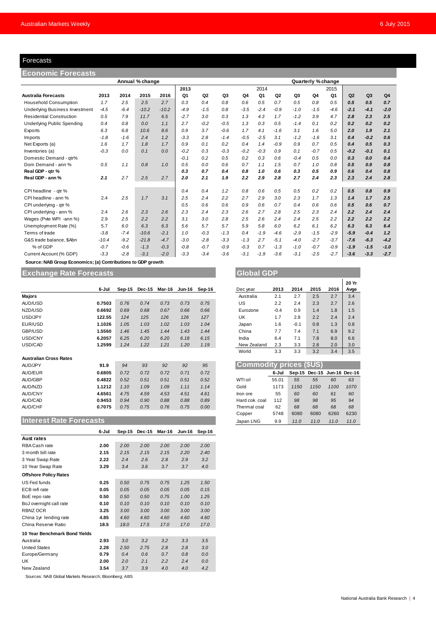#### Forecasts

| Forecasts                                                    |         |        |                 |         |        |                |        |        |        |                |        |                    |                |        |                |                |
|--------------------------------------------------------------|---------|--------|-----------------|---------|--------|----------------|--------|--------|--------|----------------|--------|--------------------|----------------|--------|----------------|----------------|
| Economic Forecasts                                           |         |        |                 |         |        |                |        |        |        |                |        |                    |                |        |                |                |
|                                                              |         |        | Annual % change |         |        |                |        |        |        |                |        | Quarterly % change |                |        |                |                |
|                                                              |         |        |                 |         | 2013   |                |        |        | 2014   |                |        |                    | 2015           |        |                |                |
| <b>Australia Forecasts</b>                                   | 2013    | 2014   | 2015            | 2016    | Q1     | Q <sub>2</sub> | Q3     | Q4     | Q1     | Q <sub>2</sub> | Q3     | Q4                 | Q <sub>1</sub> | Q2     | Q <sub>3</sub> | Q <sub>4</sub> |
| <b>Household Consumption</b>                                 | 1.7     | 2.5    | 2.5             | 2.7     | 0.3    | 0.4            | 0.8    | 0.6    | 0.5    | 0.7            | 0.5    | 0.8                | 0.5            | 0.5    | 0.5            | 0.7            |
| <b>Underlying Business Investment</b>                        | $-4.5$  | $-6.4$ | $-10.2$         | $-10.2$ | $-4.9$ | $-1.5$         | 0.8    | $-3.5$ | $-2.4$ | $-0.9$         | $-1.0$ | $-1.5$             | $-4.6$         | $-2.1$ | $-4.1$         | $-2.0$         |
| <b>Residential Construction</b>                              | 0.5     | 7.9    | 11.7            | 6.5     | $-2.7$ | 3.0            | 0.3    | 1.3    | 4.3    | 1.7            | $-1.2$ | 3.9                | 4.7            | 2.8    | 2.3            | 2.5            |
| <b>Underlying Public Spending</b>                            | 0.4     | 0.8    | 0.0             | 1.1     | 2.7    | $-0.2$         | $-0.5$ | 1.3    | 0.3    | 0.5            | $-1.4$ | 0.1                | 0.2            | 0.2    | 0.2            | 0.2            |
| Exports                                                      | 6.3     | 6.8    | 10.6            | 8.6     | 0.9    | 3.7            | $-0.6$ | 1.7    | 4.1    | $-1.6$         | 3.1    | 1.6                | 5.0            | 2.0    | 1.9            | 2.1            |
| Imports                                                      | $-1.8$  | $-1.6$ | 2.4             | 1.2     | $-3.3$ | 2.8            | $-1.4$ | $-0.5$ | $-2.5$ | 3.1            | $-1.2$ | $-1.6$             | 3.1            | 0.4    | $-0.2$         | 0.6            |
| Net Exports (a)                                              | 1.6     | 1.7    | 1.8             | 1.7     | 0.9    | 0.1            | 0.2    | 0.4    | 1.4    | $-0.9$         | 0.9    | 0.7                | 0.5            | 0.4    | 0.5            | 0.3            |
| Inventories (a)                                              | $-0.3$  | 0.0    | 0.1             | 0.0     | $-0.2$ | 0.3            | $-0.3$ | $-0.2$ | $-0.3$ | 0.9            | 0.1    | $-0.7$             | 0.5            | $-0.2$ | $-0.1$         | 0.1            |
| Domestic Demand - qtr%                                       |         |        |                 |         | $-0.1$ | 0.2            | 0.5    | 0.2    | 0.3    | 0.6            | $-0.4$ | 0.5                | 0.0            | 0.3    | 0.0            | 0.4            |
| Dom Demand - ann %                                           | 0.5     | 1.1    | 0.8             | 1.0     | 0.5    | 0.0            | 0.6    | 0.7    | 1.1    | 1.5            | 0.7    | 1.0                | 0.8            | 0.5    | 0.9            | 0.8            |
| Real GDP - qtr %                                             |         |        |                 |         | 0.3    | 0.7            | 0.4    | 0.8    | 1.0    | 0.6            | 0.3    | 0.5                | 0.9            | 0.6    | 0.4            | 0.8            |
| Real GDP - ann %                                             | 2.1     | 2.7    | 2.5             | 2.7     | 2.0    | 2.1            | 1.9    | 2.2    | 2.9    | 2.8            | 2.7    | 2.4                | 2.3            | 2.3    | 2.4            | 2.8            |
| CPI headline - qtr %                                         |         |        |                 |         | 0.4    | 0.4            | 1.2    | 0.8    | 0.6    | 0.5            | 0.5    | 0.2                | 0.2            | 0.5    | 0.8            | 0.9            |
| CPI headline - ann %                                         | 2.4     | 2.5    | 1.7             | 3.1     | 2.5    | 2.4            | 2.2    | 2.7    | 2.9    | 3.0            | 2.3    | 1.7                | 1.3            | 1.4    | 1.7            | 2.5            |
| CPI underlying - gtr %                                       |         |        |                 |         | 0.5    | 0.6            | 0.6    | 0.9    | 0.6    | 0.7            | 0.4    | 0.6                | 0.6            | 0.5    | 0.6            | 0.7            |
| CPI underlying - ann %                                       | 2.4     | 2.6    | 2.3             | 2.6     | 2.3    | 2.4            | 2.3    | 2.6    | 2.7    | 2.8            | 2.5    | 2.3                | 2.4            | 2.2    | 2.4            | 2.4            |
| Wages (Pvte WPI -ann %)                                      | 2.9     | 2.5    | 2.2             | 2.2     | 3.1    | 3.0            | 2.8    | 2.5    | 2.6    | 2.4            | 2.4    | 2.5                | 2.2            | 2.2    | 2.2            | 2.2            |
| Unemployment Rate (%)                                        | 5.7     | 6.0    | 6.3             | 6.3     | 5.6    | 5.7            | 5.7    | 5.9    | 5.8    | 6.0            | 6.2    | 6.1                | 6.2            | 6.3    | 6.3            | 6.4            |
| Terms of trade                                               | $-3.8$  | $-7.4$ | $-10.6$         | $-2.1$  | 1.0    | $-0.3$         | $-1.3$ | 0.4    | $-1.9$ | $-4.6$         | $-2.9$ | $-1.5$             | $-2.9$         | $-5.9$ | $-0.4$         | 1.2            |
| G&S trade balance, \$Abn                                     | $-10.4$ | $-9.2$ | $-21.8$         | $-4.7$  | $-3.0$ | $-2.8$         | $-3.3$ | $-1.3$ | 2.7    | $-5.1$         | $-4.0$ | $-2.7$             | $-3.7$         | $-7.6$ | $-6.3$         | $-4.2$         |
| % of GDP                                                     | $-0.7$  | $-0.6$ | $-1.3$          | $-0.3$  | $-0.8$ | $-0.7$         | $-0.9$ | $-0.3$ | 0.7    | $-1.3$         | $-1.0$ | $-0.7$             | $-0.9$         | $-1.9$ | $-1.5$         | $-1.0$         |
| Current Account (% GDP)                                      | $-3.3$  | $-2.8$ | $-3.1$          | $-2.0$  | $-3.3$ | $-3.4$         | $-3.6$ | $-3.1$ | $-1.9$ | $-3.6$         | $-3.1$ | $-2.5$             | $-2.7$         | $-3.6$ | $-3.3$         | $-2.7$         |
| Source: NAB Group Economics; (a) Contributions to GDP growth |         |        |                 |         |        |                |        |        |        |                |        |                    |                |        |                |                |

## **Exchange Rate Forecasts Global GDP Global GDP**

|                               | 6-Jul  | Sep-15 | <b>Dec-15</b> | Mar-16 | <b>Jun-16</b> | Sep-16 | Dec year                       | 2013   | 2014     | 2015                 | 2016 | Avge |
|-------------------------------|--------|--------|---------------|--------|---------------|--------|--------------------------------|--------|----------|----------------------|------|------|
|                               |        |        |               |        |               |        |                                |        |          |                      |      |      |
| <b>Majors</b>                 |        |        |               |        |               |        | Australia                      | 2.1    | 2.7      | 2.5                  | 2.7  | 3.4  |
| AUD/USD                       | 0.7503 | 0.76   | 0.74          | 0.73   | 0.73          | 0.75   | US                             | 2.2    | 2.4      | 2.3                  | 2.7  | 2.6  |
| NZD/USD                       | 0.6692 | 0.69   | 0.68          | 0.67   | 0.66          | 0.66   | Eurozone                       | $-0.4$ | 0.9      | 1.4                  | 1.8  | 1.5  |
| USD/JPY                       | 122.55 | 124    | 125           | 126    | 126           | 127    | UK                             | 1.7    | 2.8      | 2.2                  | 2.4  | 2.4  |
| EUR/USD                       | 1.1026 | 1.05   | 1.03          | 1.02   | 1.03          | 1.04   | Japan                          | 1.6    | $-0.1$   | 0.8                  | 1.3  | 0.8  |
| GBP/USD                       | 1.5560 | 1.46   | 1.45          | 1.44   | 1.43          | 1.44   | China                          | 7.7    | 7.4      | 7.1                  | 6.9  | 9.2  |
| USD/CNY                       | 6.2057 | 6.25   | 6.20          | 6.20   | 6.18          | 6.15   | India                          | 6.4    | 7.1      | 7.8                  | 8.0  | 6.6  |
| USD/CAD                       | 1.2599 | 1.24   | 1.22          | 1.21   | 1.20          | 1.19   | New Zealand                    | 2.3    | 3.3      | 2.8                  | 2.0  | 3.0  |
|                               |        |        |               |        |               |        | World                          | 3.3    | 3.3      | 3.2                  | 3.4  | 3.5  |
| <b>Australian Cross Rates</b> |        |        |               |        |               |        |                                |        |          |                      |      |      |
| AUD/JPY                       | 91.9   | 94     | 93            | 92     | 92            | 95     | <b>Commodity prices (\$US)</b> |        |          |                      |      |      |
| AUD/EUR                       | 0.6805 | 0.72   | 0.72          | 0.72   | 0.71          | 0.72   |                                | 6-Jul  | $Sep-15$ | Dec-15 Jun-16 Dec-16 |      |      |
| <b>AUD/GBP</b>                | 0.4822 | 0.52   | 0.51          | 0.51   | 0.51          | 0.52   | WTI oil                        | 55.01  | 55       | 55                   | 60   | 63   |
| AUD/NZD                       | 1.1212 | 1.10   | 1.09          | 1.09   | 1.11          | 1.14   | Gold                           | 1173   | 1150     | 1150                 | 1100 | 1070 |
| <b>AUD/CNY</b>                | 4.6561 | 4.75   | 4.59          | 4.53   | 4.51          | 4.61   | Iron ore                       | 55     | 60       | 60                   | 61   | 60   |
| AUD/CAD                       | 0.9453 | 0.94   | 0.90          | 0.88   | 0.88          | 0.89   | Hard cok. coal                 | 112    | 98       | 98                   | 95   | 94   |
| <b>AUD/CHF</b>                | 0.7075 | 0.75   | 0.75          | 0.76   | 0.75          | 0.00   | Thermal coal                   | 62     | 68       | 68                   | 68   | 68   |
|                               |        |        |               |        |               |        | Copper                         | 5748   | 6080     | 6080                 | 6260 | 6230 |

#### **Interest Rate Forecasts 6-Jul Sep-15 Dec-15 Mar-16 Jun-16 Sep-16 Aust rates** RBA Cash rate **2.00** *2.00 2.00 2.00 2.00 2.00* 3 month bill rate **2.15** *2.15 2.15 2.15 2.20 2.40* 3 Year Swap Rate **2.22** *2.4 2.6 2.8 2.9 3.2* 10 Year Swap Rate **3.29** *3.4 3.6 3.7 3.7 4.0* **Offshore Policy Rates** US Fed funds **0.25** *0.50 0.75 0.75 1.25 1.50* ECB refi rate **0.05** *0.05 0.05 0.05 0.05 0.15* BoE repo rate **0.50** *0.50 0.50 0.75 1.00 1.25* BoJ overnight call rate **0.10** *0.10 0.10 0.10 0.10 0.10* RBNZ OCR **3.25** *3.00 3.00 3.00 3.00 3.00* China 1yr lending rate **4.85** *4.60 4.60 4.60 4.60 4.60* China Reserve Ratio **18.5** *18.0 17.5 17.0 17.0 17.0* **10 Year Benchmark Bond Yields** Australia **2.93** *3.0 3.2 3.2 3.3 3.5* United States **2.28** *2.50 2.75 2.8 2.8 3.0* Europe/Germany **0.79** *0.4 0.6 0.7 0.8 0.0* 11.0 11.0 11.0 11.0<br>
12.0 **Year Benchmark Bond Yields**<br>
Australia 2.93 3.0 3.2 3.2 3.3 3.5<br>
United States 2.28 2.50 2.75 2.8 2.8 3.0<br>
Europe/Germany 0.79 0.4 0.6 0.7 0.8 0.0<br>
UK 2.00 2.0 2.1 2.2 2.4 0.0<br>
New Zealand 3.54 3 New Zealand **3.54** *3.7 3.9 4.0 4.0 4.2*

Sources: NAB Global Markets Research; Bloomberg; ABS

|             |        |        |      |      | 20 Yr |
|-------------|--------|--------|------|------|-------|
| Dec year    | 2013   | 2014   | 2015 | 2016 | Avge  |
| Australia   | 2.1    | 2.7    | 2.5  | 2.7  | 3.4   |
| US          | 2.2    | 2.4    | 2.3  | 2.7  | 2.6   |
| Eurozone    | $-0.4$ | 0.9    | 1.4  | 1.8  | 1.5   |
| UK          | 1.7    | 2.8    | 2.2  | 2.4  | 2.4   |
| Japan       | 1.6    | $-0.1$ | 0.8  | 1.3  | 0.8   |
| China       | 7.7    | 7.4    | 7.1  | 6.9  | 9.2   |
| India       | 6.4    | 7.1    | 7.8  | 8.0  | 6.6   |
| New Zealand | 2.3    | 3.3    | 2.8  | 2.0  | 3.0   |
| World       | 3.3    | 3.3    | 3.2  | 3.4  | 3.5   |

| <b>Commodity prices (\$US)</b> |       |      |                             |      |      |  |  |  |  |  |
|--------------------------------|-------|------|-----------------------------|------|------|--|--|--|--|--|
|                                | 6-Jul |      | Sep-15 Dec-15 Jun-16 Dec-16 |      |      |  |  |  |  |  |
| WTI oil                        | 55.01 | 55   | 55                          | 60   | 63   |  |  |  |  |  |
| Gold                           | 1173  | 1150 | 1150                        | 1100 | 1070 |  |  |  |  |  |
| Iron ore                       | 55    | 60   | 60                          | 61   | 60   |  |  |  |  |  |
| Hard cok. coal                 | 112   | 98   | 98                          | 95   | 94   |  |  |  |  |  |
| Thermal coal                   | 62    | 68   | 68                          | 68   | 68   |  |  |  |  |  |
| Copper                         | 5748  | 6080 | 6080                        | 6260 | 6230 |  |  |  |  |  |
| Japan LNG                      | 9.9   | 11.0 | 11.0                        | 11.0 | 11.0 |  |  |  |  |  |